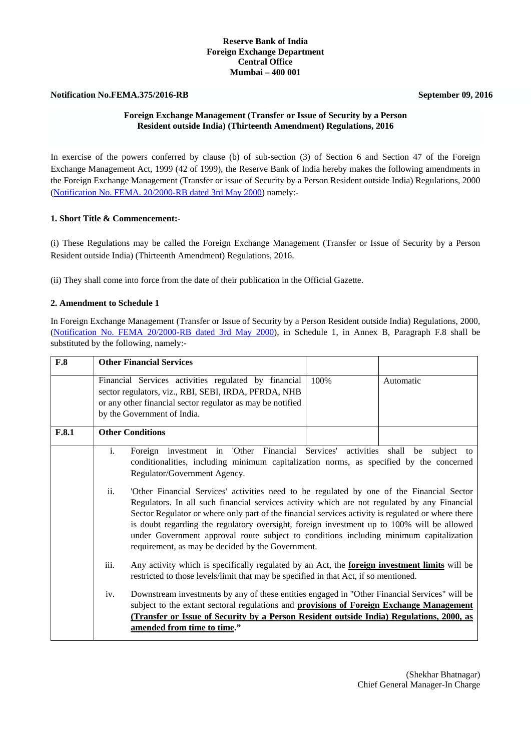#### **Reserve Bank of India Foreign Exchange Department Central Office Mumbai – 400 001**

## **Notification No.FEMA.375/2016-RB** September 09, 2016

# **Foreign Exchange Management (Transfer or Issue of Security by a Person Resident outside India) (Thirteenth Amendment) Regulations, 2016**

In exercise of the powers conferred by clause (b) of sub-section (3) of Section 6 and Section 47 of the Foreign Exchange Management Act, 1999 (42 of 1999), the Reserve Bank of India hereby makes the following amendments in the Foreign Exchange Management (Transfer or issue of Security by a Person Resident outside India) Regulations, 2000 [\(Notification No. FEMA. 20/2000-RB dated 3rd May 2000\)](http://rbi.org.in/Scripts/BS_FemaNotifications.aspx?Id=174) namely:-

## **1. Short Title & Commencement:-**

(i) These Regulations may be called the Foreign Exchange Management (Transfer or Issue of Security by a Person Resident outside India) (Thirteenth Amendment) Regulations, 2016.

(ii) They shall come into force from the date of their publication in the Official Gazette.

## **2. Amendment to Schedule 1**

In Foreign Exchange Management (Transfer or Issue of Security by a Person Resident outside India) Regulations, 2000, [\(Notification No. FEMA 20/2000-RB dated 3rd May 2000\)](http://rbi.org.in/Scripts/BS_FemaNotifications.aspx?Id=174), in Schedule 1, in Annex B, Paragraph F.8 shall be substituted by the following, namely:-

| F.8   |                                                                                                                                                                                                                                                                                                                                                                                                                                                                                                                                                                                                                                                                                                                                                                                     | <b>Other Financial Services</b>                                                                                                                                                                           |      |           |
|-------|-------------------------------------------------------------------------------------------------------------------------------------------------------------------------------------------------------------------------------------------------------------------------------------------------------------------------------------------------------------------------------------------------------------------------------------------------------------------------------------------------------------------------------------------------------------------------------------------------------------------------------------------------------------------------------------------------------------------------------------------------------------------------------------|-----------------------------------------------------------------------------------------------------------------------------------------------------------------------------------------------------------|------|-----------|
|       |                                                                                                                                                                                                                                                                                                                                                                                                                                                                                                                                                                                                                                                                                                                                                                                     | Financial Services activities regulated by financial<br>sector regulators, viz., RBI, SEBI, IRDA, PFRDA, NHB<br>or any other financial sector regulator as may be notified<br>by the Government of India. | 100% | Automatic |
| F.8.1 |                                                                                                                                                                                                                                                                                                                                                                                                                                                                                                                                                                                                                                                                                                                                                                                     | <b>Other Conditions</b>                                                                                                                                                                                   |      |           |
|       | Foreign investment in 'Other Financial Services' activities shall be subject to<br>$\mathbf{i}$ .<br>conditionalities, including minimum capitalization norms, as specified by the concerned<br>Regulator/Government Agency.<br>ii.<br>'Other Financial Services' activities need to be regulated by one of the Financial Sector<br>Regulators. In all such financial services activity which are not regulated by any Financial<br>Sector Regulator or where only part of the financial services activity is regulated or where there<br>is doubt regarding the regulatory oversight, foreign investment up to 100% will be allowed<br>under Government approval route subject to conditions including minimum capitalization<br>requirement, as may be decided by the Government. |                                                                                                                                                                                                           |      |           |
|       | iii.<br>Any activity which is specifically regulated by an Act, the <b>foreign investment limits</b> will be<br>restricted to those levels/limit that may be specified in that Act, if so mentioned.<br>Downstream investments by any of these entities engaged in "Other Financial Services" will be<br>iv.<br>subject to the extant sectoral regulations and <b>provisions of Foreign Exchange Management</b><br>(Transfer or Issue of Security by a Person Resident outside India) Regulations, 2000, as<br>amended from time to time."                                                                                                                                                                                                                                          |                                                                                                                                                                                                           |      |           |
|       |                                                                                                                                                                                                                                                                                                                                                                                                                                                                                                                                                                                                                                                                                                                                                                                     |                                                                                                                                                                                                           |      |           |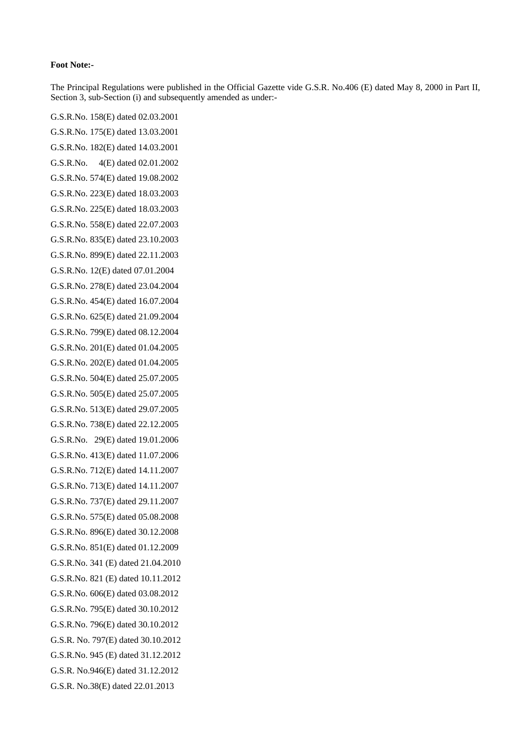#### **Foot Note:-**

The Principal Regulations were published in the Official Gazette vide G.S.R. No.406 (E) dated May 8, 2000 in Part II, Section 3, sub-Section (i) and subsequently amended as under:-

G.S.R.No. 158(E) dated 02.03.2001 G.S.R.No. 175(E) dated 13.03.2001 G.S.R.No. 182(E) dated 14.03.2001 G.S.R.No. 4(E) dated 02.01.2002 G.S.R.No. 574(E) dated 19.08.2002 G.S.R.No. 223(E) dated 18.03.2003 G.S.R.No. 225(E) dated 18.03.2003 G.S.R.No. 558(E) dated 22.07.2003 G.S.R.No. 835(E) dated 23.10.2003 G.S.R.No. 899(E) dated 22.11.2003 G.S.R.No. 12(E) dated 07.01.2004 G.S.R.No. 278(E) dated 23.04.2004 G.S.R.No. 454(E) dated 16.07.2004 G.S.R.No. 625(E) dated 21.09.2004 G.S.R.No. 799(E) dated 08.12.2004 G.S.R.No. 201(E) dated 01.04.2005 G.S.R.No. 202(E) dated 01.04.2005 G.S.R.No. 504(E) dated 25.07.2005 G.S.R.No. 505(E) dated 25.07.2005 G.S.R.No. 513(E) dated 29.07.2005 G.S.R.No. 738(E) dated 22.12.2005 G.S.R.No. 29(E) dated 19.01.2006 G.S.R.No. 413(E) dated 11.07.2006 G.S.R.No. 712(E) dated 14.11.2007 G.S.R.No. 713(E) dated 14.11.2007 G.S.R.No. 737(E) dated 29.11.2007 G.S.R.No. 575(E) dated 05.08.2008 G.S.R.No. 896(E) dated 30.12.2008 G.S.R.No. 851(E) dated 01.12.2009 G.S.R.No. 341 (E) dated 21.04.2010 G.S.R.No. 821 (E) dated 10.11.2012 G.S.R.No. 606(E) dated 03.08.2012 G.S.R.No. 795(E) dated 30.10.2012 G.S.R.No. 796(E) dated 30.10.2012 G.S.R. No. 797(E) dated 30.10.2012 G.S.R.No. 945 (E) dated 31.12.2012 G.S.R. No.946(E) dated 31.12.2012 G.S.R. No.38(E) dated 22.01.2013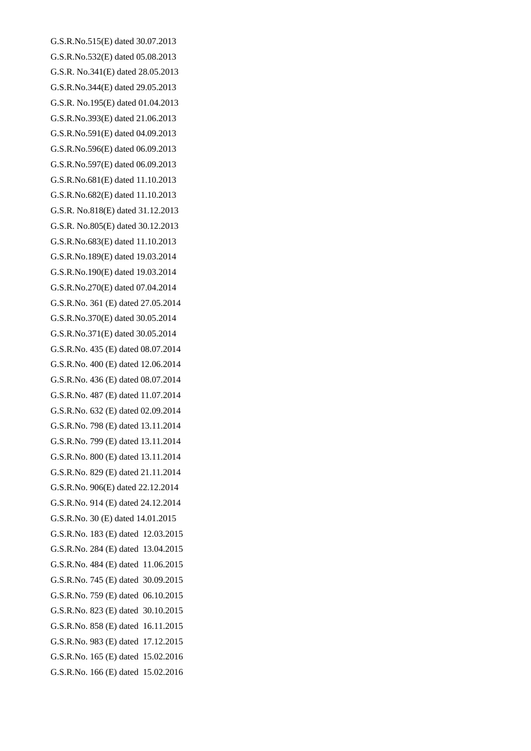G.S.R.No.515(E) dated 30.07.2013 G.S.R.No.532(E) dated 05.08.2013 G.S.R. No.341(E) dated 28.05.2013 G.S.R.No.344(E) dated 29.05.2013 G.S.R. No.195(E) dated 01.04.2013 G.S.R.No.393(E) dated 21.06.2013 G.S.R.No.591(E) dated 04.09.2013 G.S.R.No.596(E) dated 06.09.2013 G.S.R.No.597(E) dated 06.09.2013 G.S.R.No.681(E) dated 11.10.2013 G.S.R.No.682(E) dated 11.10.2013 G.S.R. No.818(E) dated 31.12.2013 G.S.R. No.805(E) dated 30.12.2013 G.S.R.No.683(E) dated 11.10.2013 G.S.R.No.189(E) dated 19.03.2014 G.S.R.No.190(E) dated 19.03.2014 G.S.R.No.270(E) dated 07.04.2014 G.S.R.No. 361 (E) dated 27.05.2014 G.S.R.No.370(E) dated 30.05.2014 G.S.R.No.371(E) dated 30.05.2014 G.S.R.No. 435 (E) dated 08.07.2014 G.S.R.No. 400 (E) dated 12.06.2014 G.S.R.No. 436 (E) dated 08.07.2014 G.S.R.No. 487 (E) dated 11.07.2014 G.S.R.No. 632 (E) dated 02.09.2014 G.S.R.No. 798 (E) dated 13.11.2014 G.S.R.No. 799 (E) dated 13.11.2014 G.S.R.No. 800 (E) dated 13.11.2014 G.S.R.No. 829 (E) dated 21.11.2014 G.S.R.No. 906(E) dated 22.12.2014 G.S.R.No. 914 (E) dated 24.12.2014 G.S.R.No. 30 (E) dated 14.01.2015 G.S.R.No. 183 (E) dated 12.03.2015 G.S.R.No. 284 (E) dated 13.04.2015 G.S.R.No. 484 (E) dated 11.06.2015 G.S.R.No. 745 (E) dated 30.09.2015 G.S.R.No. 759 (E) dated 06.10.2015 G.S.R.No. 823 (E) dated 30.10.2015 G.S.R.No. 858 (E) dated 16.11.2015 G.S.R.No. 983 (E) dated 17.12.2015 G.S.R.No. 165 (E) dated 15.02.2016 G.S.R.No. 166 (E) dated 15.02.2016